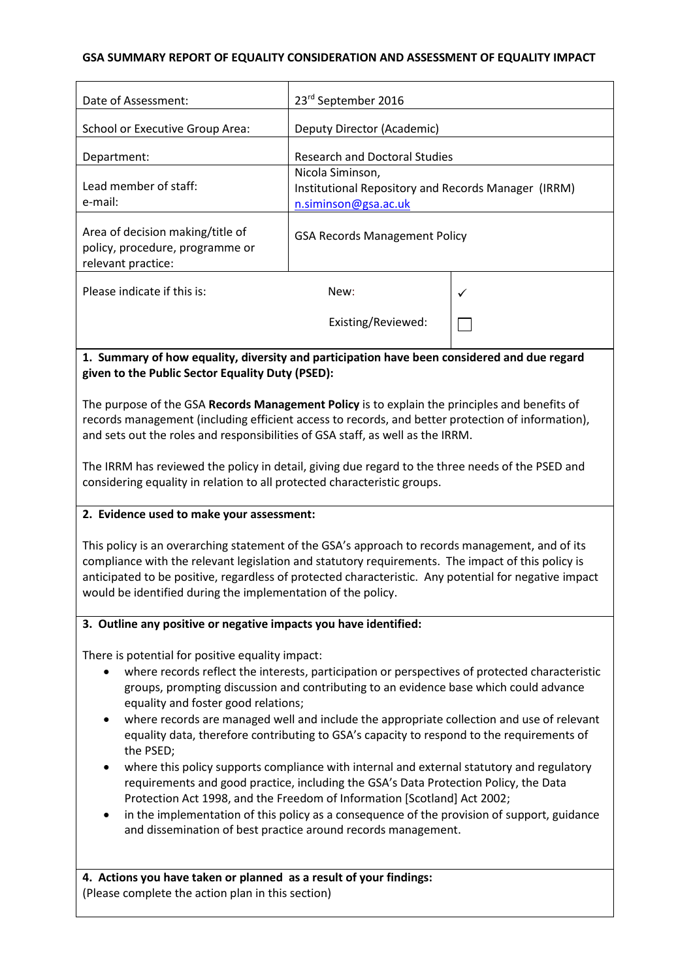#### **GSA SUMMARY REPORT OF EQUALITY CONSIDERATION AND ASSESSMENT OF EQUALITY IMPACT**

| Date of Assessment:                                                                                                                                                                                                                                                                                                                                                           | 23rd September 2016                                                                             |   |  |
|-------------------------------------------------------------------------------------------------------------------------------------------------------------------------------------------------------------------------------------------------------------------------------------------------------------------------------------------------------------------------------|-------------------------------------------------------------------------------------------------|---|--|
| <b>School or Executive Group Area:</b>                                                                                                                                                                                                                                                                                                                                        | Deputy Director (Academic)                                                                      |   |  |
| Department:                                                                                                                                                                                                                                                                                                                                                                   | <b>Research and Doctoral Studies</b>                                                            |   |  |
| Lead member of staff:<br>e-mail:                                                                                                                                                                                                                                                                                                                                              | Nicola Siminson,<br>Institutional Repository and Records Manager (IRRM)<br>n.siminson@gsa.ac.uk |   |  |
| Area of decision making/title of<br>policy, procedure, programme or<br>relevant practice:                                                                                                                                                                                                                                                                                     | <b>GSA Records Management Policy</b>                                                            |   |  |
| Please indicate if this is:                                                                                                                                                                                                                                                                                                                                                   | New:                                                                                            | ✓ |  |
|                                                                                                                                                                                                                                                                                                                                                                               | Existing/Reviewed:                                                                              |   |  |
| 1. Summary of how equality, diversity and participation have been considered and due regard<br>given to the Public Sector Equality Duty (PSED):                                                                                                                                                                                                                               |                                                                                                 |   |  |
| The purpose of the GSA Records Management Policy is to explain the principles and benefits of<br>records management (including efficient access to records, and better protection of information),<br>and sets out the roles and responsibilities of GSA staff, as well as the IRRM.                                                                                          |                                                                                                 |   |  |
| The IRRM has reviewed the policy in detail, giving due regard to the three needs of the PSED and<br>considering equality in relation to all protected characteristic groups.                                                                                                                                                                                                  |                                                                                                 |   |  |
| 2. Evidence used to make your assessment:                                                                                                                                                                                                                                                                                                                                     |                                                                                                 |   |  |
| This policy is an overarching statement of the GSA's approach to records management, and of its<br>compliance with the relevant legislation and statutory requirements. The impact of this policy is<br>anticipated to be positive, regardless of protected characteristic. Any potential for negative impact<br>would be identified during the implementation of the policy. |                                                                                                 |   |  |
| 3. Outline any positive or negative impacts you have identified:                                                                                                                                                                                                                                                                                                              |                                                                                                 |   |  |
| There is notential for nositive equality impact:                                                                                                                                                                                                                                                                                                                              |                                                                                                 |   |  |

 $t$ ential for positive equality impact:

- where records reflect the interests, participation or perspectives of protected characteristic groups, prompting discussion and contributing to an evidence base which could advance equality and foster good relations;
- where records are managed well and include the appropriate collection and use of relevant equality data, therefore contributing to GSA's capacity to respond to the requirements of the PSED;
- where this policy supports compliance with internal and external statutory and regulatory requirements and good practice, including the GSA's Data Protection Policy, the Data Protection Act 1998, and the Freedom of Information [Scotland] Act 2002;
- in the implementation of this policy as a consequence of the provision of support, guidance and dissemination of best practice around records management.

**4. Actions you have taken or planned as a result of your findings:** (Please complete the action plan in this section)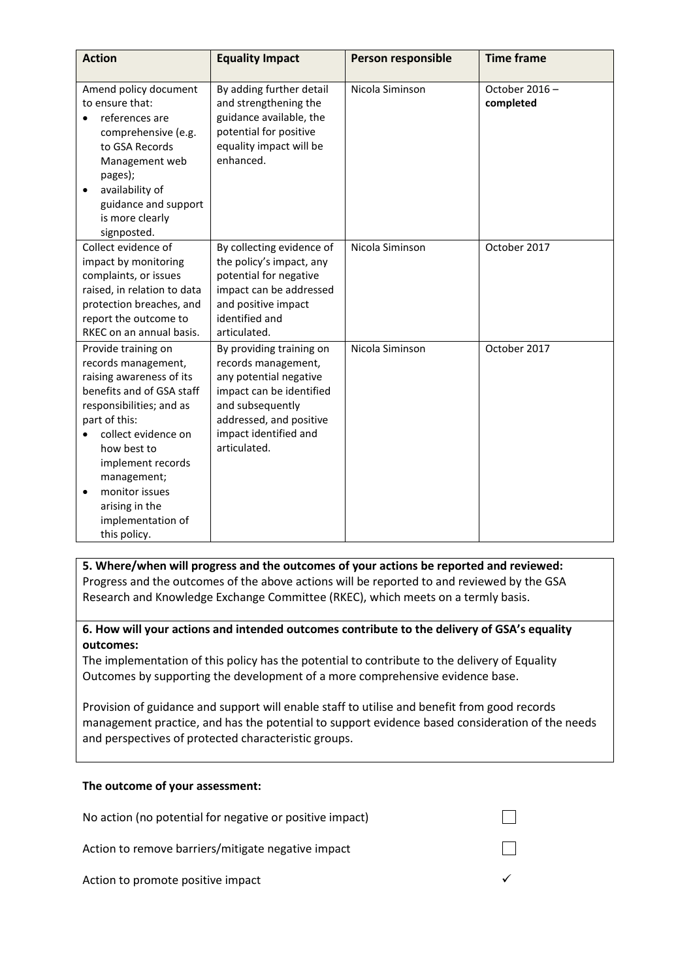| <b>Action</b>                                                                                                                                                                                                                                                                                                    | <b>Equality Impact</b>                                                                                                                                                                        | Person responsible | <b>Time frame</b>          |
|------------------------------------------------------------------------------------------------------------------------------------------------------------------------------------------------------------------------------------------------------------------------------------------------------------------|-----------------------------------------------------------------------------------------------------------------------------------------------------------------------------------------------|--------------------|----------------------------|
| Amend policy document<br>to ensure that:<br>references are<br>comprehensive (e.g.<br>to GSA Records<br>Management web<br>pages);<br>availability of<br>$\bullet$<br>guidance and support<br>is more clearly<br>signposted.                                                                                       | By adding further detail<br>and strengthening the<br>guidance available, the<br>potential for positive<br>equality impact will be<br>enhanced.                                                | Nicola Siminson    | October 2016-<br>completed |
| Collect evidence of<br>impact by monitoring<br>complaints, or issues<br>raised, in relation to data<br>protection breaches, and<br>report the outcome to<br>RKEC on an annual basis.                                                                                                                             | By collecting evidence of<br>the policy's impact, any<br>potential for negative<br>impact can be addressed<br>and positive impact<br>identified and<br>articulated.                           | Nicola Siminson    | October 2017               |
| Provide training on<br>records management,<br>raising awareness of its<br>benefits and of GSA staff<br>responsibilities; and as<br>part of this:<br>collect evidence on<br>how best to<br>implement records<br>management;<br>monitor issues<br>$\bullet$<br>arising in the<br>implementation of<br>this policy. | By providing training on<br>records management,<br>any potential negative<br>impact can be identified<br>and subsequently<br>addressed, and positive<br>impact identified and<br>articulated. | Nicola Siminson    | October 2017               |

### **5. Where/when will progress and the outcomes of your actions be reported and reviewed:** Progress and the outcomes of the above actions will be reported to and reviewed by the GSA Research and Knowledge Exchange Committee (RKEC), which meets on a termly basis.

### **6. How will your actions and intended outcomes contribute to the delivery of GSA's equality outcomes:**

The implementation of this policy has the potential to contribute to the delivery of Equality Outcomes by supporting the development of a more comprehensive evidence base.

Provision of guidance and support will enable staff to utilise and benefit from good records management practice, and has the potential to support evidence based consideration of the needs and perspectives of protected characteristic groups.

#### **The outcome of your assessment:**

| No action (no potential for negative or positive impact) |  |
|----------------------------------------------------------|--|
| Action to remove barriers/mitigate negative impact       |  |
| Action to promote positive impact                        |  |